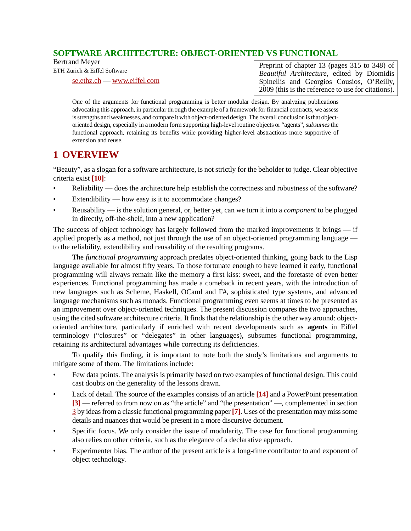# **SOFTWARE ARCHITECTURE: OBJECT-ORIENTED VS FUNCTIONAL**

Bertrand Meyer

ETH Zurich & Eiffel Software

[se.ethz.ch](http://se.ethz.ch) — www.eiffel.com

Preprint of chapter 13 (pages 315 to 348) of *Beautiful Architecture*, edited by Diomidis [Spinellis and Georgios Cousio](http://www.eiffel.com)s, O'Reilly, 2009 (this is the reference to use for citations).

One of the arguments for functional programming is better modular design. By analyzing publications advocating this approach, in particular through the example of a framework for financial contracts, we assess is strengths and weaknesses, and compare it with object-oriented design. The overall conclusion is that objectoriented design, especially in a modern form supporting high-level routine objects or "agents", *subsumes* the functional approach, retaining its benefits while providing higher-level abstractions more supportive of extension and reuse.

# **1 OVERVIEW**

"Beauty", as a slogan for a software architecture, is not strictly for the beholder to judge. Clear objective criteria exist **[\[10\]](#page-27-0)**:

- Reliability does the architecture help establish the correctness and robustness of the software?
- Extendibility how easy is it to accommodate changes?
- Reusability is the solution general, or, better yet, can we turn it into a *component* to be plugged in directly, off-the-shelf, into a new application?

The success of object technology has largely followed from the marked improvements it brings — if applied properly as a method, not just through the use of an object-oriented programming language to the reliability, extendibility and reusability of the resulting programs.

The *functional programming* approach predates object-oriented thinking, going back to the Lisp language available for almost fifty years. To those fortunate enough to have learned it early, functional programming will always remain like the memory a first kiss: sweet, and the foretaste of even better experiences. Functional programming has made a comeback in recent years, with the introduction of new languages such as Scheme, Haskell, OCaml and F#, sophisticated type systems, and advanced language mechanisms such as monads. Functional programming even seems at times to be presented as an improvement over object-oriented techniques. The present discussion compares the two approaches, using the cited software architecture criteria. It finds that the relationship is the other way around: objectoriented architecture, particularly if enriched with recent developments such as **agents** in Eiffel terminology ("closures" or "delegates" in other languages), subsumes functional programming, retaining its architectural advantages while correcting its deficiencies.

To qualify this finding, it is important to note both the study's limitations and arguments to mitigate some of them. The limitations include:

- Few data points. The analysis is primarily based on two examples of functional design. This could cast doubts on the generality of the lessons drawn.
- Lack of detail. The source of the examples consists of an article **[\[14\]](#page-27-1)** and a PowerPoint presentation **[\[3\]](#page-27-2)** — referred to from now on as "the article" and "the presentation" —, complemented in section [3](#page-4-0) by ideas from a classic functional programming paper **[\[7\]](#page-27-3)**. Uses of the presentation may miss some details and nuances that would be present in a more discursive document.
- Specific focus. We only consider the issue of modularity. The case for functional programming also relies on other criteria, such as the elegance of a declarative approach.
- Experimenter bias. The author of the present article is a long-time contributor to and exponent of object technology.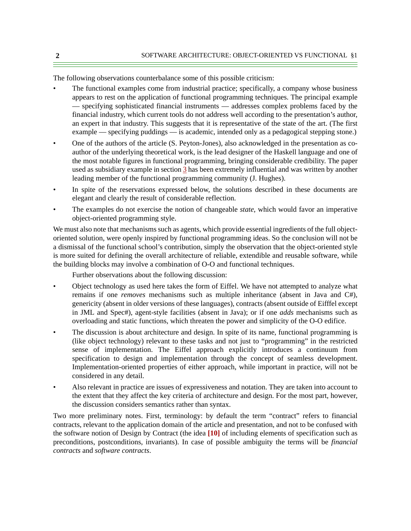The following observations counterbalance some of this possible criticism:

- The functional examples come from industrial practice; specifically, a company whose business appears to rest on the application of functional programming techniques. The principal example — specifying sophisticated financial instruments — addresses complex problems faced by the financial industry, which current tools do not address well according to the presentation's author, an expert in that industry. This suggests that it is representative of the state of the art. (The first example — specifying puddings — is academic, intended only as a pedagogical stepping stone.)
- One of the authors of the article (S. Peyton-Jones), also acknowledged in the presentation as coauthor of the underlying theoretical work, is the lead designer of the Haskell language and one of the most notable figures in functional programming, bringing considerable credibility. The paper used as subsidiary example in section  $\frac{3}{2}$  $\frac{3}{2}$  $\frac{3}{2}$  has been extremely influential and was written by another leading member of the functional programming community (J. Hughes).
- In spite of the reservations expressed below, the solutions described in these documents are elegant and clearly the result of considerable reflection.
- The examples do not exercise the notion of changeable *state*, which would favor an imperative object-oriented programming style.

We must also note that mechanisms such as agents, which provide essential ingredients of the full objectoriented solution, were openly inspired by functional programming ideas. So the conclusion will not be a dismissal of the functional school's contribution, simply the observation that the object-oriented style is more suited for defining the overall architecture of reliable, extendible and reusable software, while the building blocks may involve a combination of O-O and functional techniques.

Further observations about the following discussion:

- Object technology as used here takes the form of Eiffel. We have not attempted to analyze what remains if one *removes* mechanisms such as multiple inheritance (absent in Java and C#), genericity (absent in older versions of these languages), contracts (absent outside of Eifffel except in JML and Spec#), agent-style facilities (absent in Java); or if one *adds* mechanisms such as overloading and static functions, which threaten the power and simplicity of the O-O edifice.
- The discussion is about architecture and design. In spite of its name, functional programming is (like object technology) relevant to these tasks and not just to "programming" in the restricted sense of implementation. The Eiffel approach explicitly introduces a continuum from specification to design and implementation through the concept of seamless development. Implementation-oriented properties of either approach, while important in practice, will not be considered in any detail.
- Also relevant in practice are issues of expressiveness and notation. They are taken into account to the extent that they affect the key criteria of architecture and design. For the most part, however, the discussion considers semantics rather than syntax.

Two more preliminary notes. First, terminology: by default the term "contract" refers to financial contracts, relevant to the application domain of the article and presentation, and not to be confused with the software notion of Design by Contract (the idea **[\[10\]](#page-27-0)** of including elements of specification such as preconditions, postconditions, invariants). In case of possible ambiguity the terms will be *financial contracts* and *software contracts*.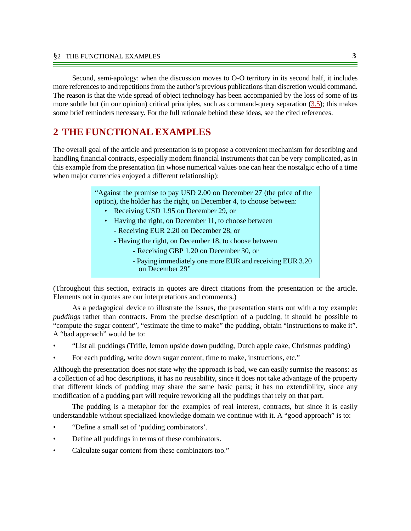Second, semi-apology: when the discussion moves to O-O territory in its second half, it includes more references to and repetitions from the author's previous publications than discretion would command. The reason is that the wide spread of object technology has been accompanied by the loss of some of its more subtle but (in our opinion) critical principles, such as command-query separation [\(3.5\)](#page-10-0); this makes some brief reminders necessary. For the full rationale behind these ideas, see the cited references.

# **2 THE FUNCTIONAL EXAMPLES**

The overall goal of the article and presentation is to propose a convenient mechanism for describing and handling financial contracts, especially modern financial instruments that can be very complicated, as in this example from the presentation (in whose numerical values one can hear the nostalgic echo of a time when major currencies enjoyed a different relationship):

> "Against the promise to pay USD 2.00 on December 27 (the price of the option), the holder has the right, on December 4, to choose between: • Receiving USD 1.95 on December 29, or • Having the right, on December 11, to choose between - Receiving EUR 2.20 on December 28, or - Having the right, on December 18, to choose between - Receiving GBP 1.20 on December 30, or - Paying immediately one more EUR and receiving EUR 3.20 on December 29"

(Throughout this section, extracts in quotes are direct citations from the presentation or the article. Elements not in quotes are our interpretations and comments.)

As a pedagogical device to illustrate the issues, the presentation starts out with a toy example: *puddings* rather than contracts. From the precise description of a pudding, it should be possible to "compute the sugar content", "estimate the time to make" the pudding, obtain "instructions to make it". A "bad approach" would be to:

- "List all puddings (Trifle, lemon upside down pudding, Dutch apple cake, Christmas pudding)
- For each pudding, write down sugar content, time to make, instructions, etc."

Although the presentation does not state why the approach is bad, we can easily surmise the reasons: as a collection of ad hoc descriptions, it has no reusability, since it does not take advantage of the property that different kinds of pudding may share the same basic parts; it has no extendibility, since any modification of a pudding part will require reworking all the puddings that rely on that part.

The pudding is a metaphor for the examples of real interest, contracts, but since it is easily understandable without specialized knowledge domain we continue with it. A "good approach" is to:

- "Define a small set of 'pudding combinators'.
- Define all puddings in terms of these combinators.
- Calculate sugar content from these combinators too."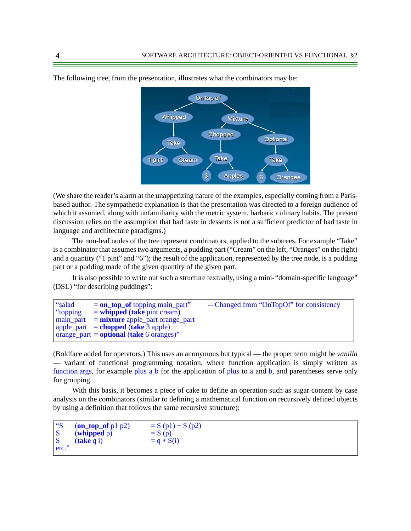

The following tree, from the presentation, illustrates what the combinators may be:

(We share the reader's alarm at the unappetizing nature of the examples, especially coming from a Parisbased author. The sympathetic explanation is that the presentation was directed to a foreign audience of which it assumed, along with unfamiliarity with the metric system, barbaric culinary habits. The present discussion relies on the assumption that bad taste in desserts is not a sufficient predictor of bad taste in language and architecture paradigms.)

The non-leaf nodes of the tree represent combinators, applied to the subtrees. For example "Take" is a combinator that assumes two arguments, a pudding part ("Cream" on the left, "Oranges" on the right) and a quantity ("1 pint" and "6"); the result of the application, represented by the tree node, is a pudding part or a pudding made of the given quantity of the given part.

It is also possible to write out such a structure textually, using a mini-"domain-specific language" (DSL) "for describing puddings":

```
"salad = on_top_of topping main_part" -- Changed from "OnTopOf" for consistency
"topping = whipped (take pint cream)
main_part = mixture apple_part orange_part
apple_part = chopped (take 3 apple)
orange_part = optional (take 6 oranges)"
```
(Boldface added for operators.) This uses an anonymous but typical — the proper term might be *vanilla* — variant of functional programming notation, where function application is simply written as function args, for example plus a b for the application of plus to a and b, and parentheses serve only for grouping.

With this basis, it becomes a piece of cake to define an operation such as sugar content by case analysis on the combinators (similar to defining a mathematical function on recursively defined objects by using a definition that follows the same recursive structure):

```
"S (on top of p1 p2) = S (p1) + S (p2)S (whipped p) = S (p)<br>S (take q i) = q * S
       (\textbf{take } q \text{ i}) = q * S(\text{i})etc."
```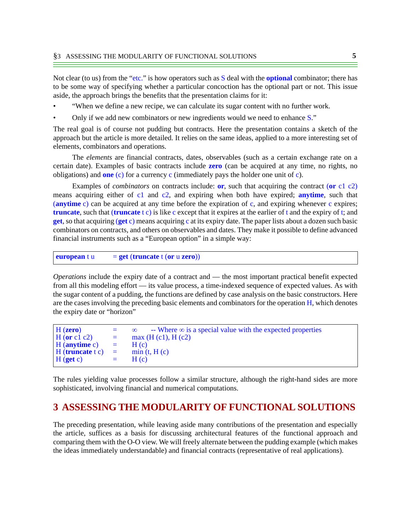Not clear (to us) from the "etc." is how operators such as S deal with the **optional** combinator; there has to be some way of specifying whether a particular concoction has the optional part or not. This issue aside, the approach brings the benefits that the presentation claims for it:

- "When we define a new recipe, we can calculate its sugar content with no further work.
- Only if we add new combinators or new ingredients would we need to enhance S."

The real goal is of course not pudding but contracts. Here the presentation contains a sketch of the approach but the article is more detailed. It relies on the same ideas, applied to a more interesting set of elements, combinators and operations.

The *elements* are financial contracts, dates, observables (such as a certain exchange rate on a certain date). Examples of basic contracts include **zero** (can be acquired at any time, no rights, no obligations) and **one** (c) for a currency c (immediately pays the holder one unit of c).

Examples of *combinators* on contracts include: **or**, such that acquiring the contract (**or** c1 c2) means acquiring either of c1 and c2, and expiring when both have expired; **anytime**, such that (**anytime** c) can be acquired at any time before the expiration of c, and expiring whenever c expires; **truncate**, such that (**truncate** t c) is like c except that it expires at the earlier of t and the expiry of t; and **get**, so that acquiring (**get** c) means acquiring c at its expiry date. The paper lists about a dozen such basic combinators on contracts, and others on observables and dates. They make it possible to define advanced financial instruments such as a "European option" in a simple way:

**european** t u  $=$  **get** (**truncate** t (**or** u **zero**))

*Operations* include the expiry date of a contract and — the most important practical benefit expected from all this modeling effort — its value process, a time-indexed sequence of expected values. As with the sugar content of a pudding, the functions are defined by case analysis on the basic constructors. Here are the cases involving the preceding basic elements and combinators for the operation H, which denotes the expiry date or "horizon"

```
H (zero) = \infty -- Where \infty is a special value with the expected properties
H (or c1 c2) = max (H (c1), H (c2)
H (anytime c) = H(c)H (truncate t c) = min (t, H (c)
H (get c) = H (c)
```
The rules yielding value processes follow a similar structure, although the right-hand sides are more sophisticated, involving financial and numerical computations.

# <span id="page-4-0"></span>**3 ASSESSING THE MODULARITY OF FUNCTIONAL SOLUTIONS**

The preceding presentation, while leaving aside many contributions of the presentation and especially the article, suffices as a basis for discussing architectural features of the functional approach and comparing them with the O-O view. We will freely alternate between the pudding example (which makes the ideas immediately understandable) and financial contracts (representative of real applications).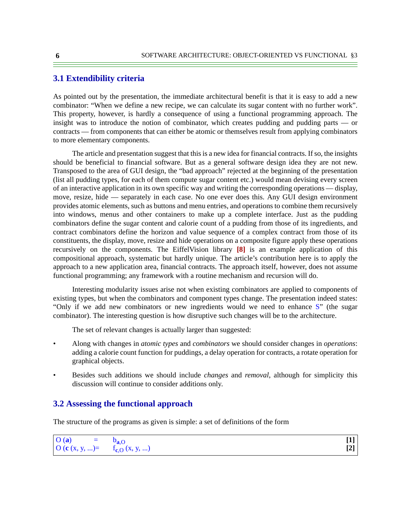# **3.1 Extendibility criteria**

As pointed out by the presentation, the immediate architectural benefit is that it is easy to add a new combinator: "When we define a new recipe, we can calculate its sugar content with no further work". This property, however, is hardly a consequence of using a functional programming approach. The insight was to introduce the notion of combinator, which creates pudding and pudding parts — or contracts — from components that can either be atomic or themselves result from applying combinators to more elementary components.

The article and presentation suggest that this is a new idea for financial contracts. If so, the insights should be beneficial to financial software. But as a general software design idea they are not new. Transposed to the area of GUI design, the "bad approach" rejected at the beginning of the presentation (list all pudding types, for each of them compute sugar content etc.) would mean devising every screen of an interactive application in its own specific way and writing the corresponding operations — display, move, resize, hide — separately in each case. No one ever does this. Any GUI design environment provides atomic elements, such as buttons and menu entries, and operations to combine them recursively into windows, menus and other containers to make up a complete interface. Just as the pudding combinators define the sugar content and calorie count of a pudding from those of its ingredients, and contract combinators define the horizon and value sequence of a complex contract from those of its constituents, the display, move, resize and hide operations on a composite figure apply these operations recursively on the components. The EiffelVision library **[\[8\]](#page-27-4)** is an example application of this compositional approach, systematic but hardly unique. The article's contribution here is to apply the approach to a new application area, financial contracts. The approach itself, however, does not assume functional programming; any framework with a routine mechanism and recursion will do.

Interesting modularity issues arise not when existing combinators are applied to components of existing types, but when the combinators and component types change. The presentation indeed states: "Only if we add new combinators or new ingredients would we need to enhance S" (the sugar combinator). The interesting question is how disruptive such changes will be to the architecture.

The set of relevant changes is actually larger than suggested:

- Along with changes in *atomic types* and *combinators* we should consider changes in *operations*: adding a calorie count function for puddings, a delay operation for contracts, a rotate operation for graphical objects.
- Besides such additions we should include *changes* and *removal*, although for simplicity this discussion will continue to consider additions only.

#### **3.2 Assessing the functional approach**

<span id="page-5-0"></span>The structure of the programs as given is simple: a set of definitions of the form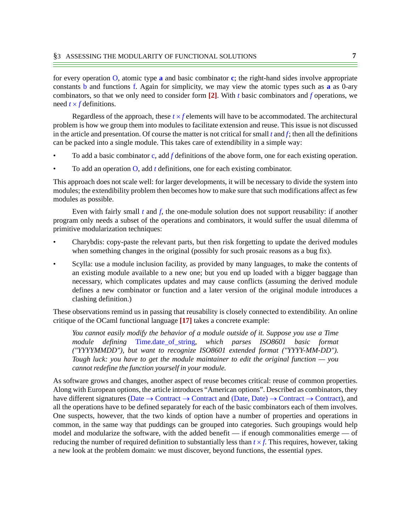for every operation O, atomic type **a** and basic combinator **c**; the right-hand sides involve appropriate constants b and functions f. Again for simplicity, we may view the atomic types such as **a** as 0-ary combinators, so that we only need to consider form **[\[2\]](#page-5-0)**. With *t* basic combinators and *f* operations, we need  $t \times f$  definitions.

Regardless of the approach, these  $t \times f$  elements will have to be accommodated. The architectural problem is how we group them into modules to facilitate extension and reuse. This issue is not discussed in the article and presentation. Of course the matter is not critical for small *t* and *f*; then all the definitions can be packed into a single module. This takes care of extendibility in a simple way:

- To add a basic combinator c, add *f* definitions of the above form, one for each existing operation.
- To add an operation O, add *t* definitions, one for each existing combinator.

This approach does not scale well: for larger developments, it will be necessary to divide the system into modules; the extendibility problem then becomes how to make sure that such modifications affect as few modules as possible.

Even with fairly small *t* and *f*, the one-module solution does not support reusability: if another program only needs a subset of the operations and combinators, it would suffer the usual dilemma of primitive modularization techniques:

- Charybdis: copy-paste the relevant parts, but then risk forgetting to update the derived modules when something changes in the original (possibly for such prosaic reasons as a bug fix).
- Scylla: use a module inclusion facility, as provided by many languages, to make the contents of an existing module available to a new one; but you end up loaded with a bigger baggage than necessary, which complicates updates and may cause conflicts (assuming the derived module defines a new combinator or function and a later version of the original module introduces a clashing definition.)

These observations remind us in passing that reusability is closely connected to extendibility. An online critique of the OCaml functional language **[\[17\]](#page-27-5)** takes a concrete example:

*You cannot easily modify the behavior of a module outside of it. Suppose you use a Time module defining* Time.date\_of\_string*, which parses ISO8601 basic format ("YYYYMMDD"), but want to recognize ISO8601 extended format ("YYYY-MM-DD"). Tough luck: you have to get the module maintainer to edit the original function — you cannot redefine the function yourself in your module.*

As software grows and changes, another aspect of reuse becomes critical: reuse of common properties. Along with European options, the article introduces "American options". Described as combinators, they have different signatures (Date  $\rightarrow$  Contract  $\rightarrow$  Contract and (Date, Date)  $\rightarrow$  Contract  $\rightarrow$  Contract), and all the operations have to be defined separately for each of the basic combinators each of them involves. One suspects, however, that the two kinds of option have a number of properties and operations in common, in the same way that puddings can be grouped into categories. Such groupings would help model and modularize the software, with the added benefit — if enough commonalities emerge — of reducing the number of required definition to substantially less than  $t \times f$ . This requires, however, taking a new look at the problem domain: we must discover, beyond functions, the essential *types*.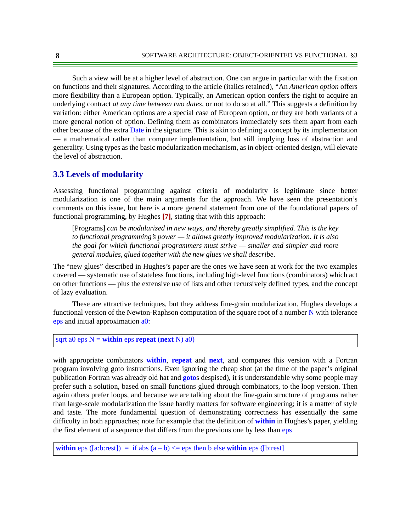Such a view will be at a higher level of abstraction. One can argue in particular with the fixation on functions and their signatures. According to the article (italics retained), "An *American option* offers more flexibility than a European option. Typically, an American option confers the right to acquire an underlying contract *at any time between two dates*, or not to do so at all." This suggests a definition by variation: either American options are a special case of European option, or they are both variants of a more general notion of option. Defining them as combinators immediately sets them apart from each other because of the extra Date in the signature. This is akin to defining a concept by its implementation — a mathematical rather than computer implementation, but still implying loss of abstraction and generality. Using types as the basic modularization mechanism, as in object-oriented design, will elevate the level of abstraction.

#### **3.3 Levels of modularity**

Assessing functional programming against criteria of modularity is legitimate since better modularization is one of the main arguments for the approach. We have seen the presentation's comments on this issue, but here is a more general statement from one of the foundational papers of functional programming, by Hughes **[\[7\]](#page-27-3)**, stating that with this approach:

[Programs] *can be modularized in new ways, and thereby greatly simplified. This is the key to functional programming's power — it allows greatly improved modularization. It is also the goal for which functional programmers must strive — smaller and simpler and more general modules, glued together with the new glues we shall describe*.

The "new glues" described in Hughes's paper are the ones we have seen at work for the two examples covered — systematic use of stateless functions, including high-level functions (combinators) which act on other functions — plus the extensive use of lists and other recursively defined types, and the concept of lazy evaluation.

These are attractive techniques, but they address fine-grain modularization. Hughes develops a functional version of the Newton-Raphson computation of the square root of a number N with tolerance eps and initial approximation a0:

```
sqrt a0 eps N = within eps repeat (next N) a0)
```
with appropriate combinators **within**, **repeat** and **next**, and compares this version with a Fortran program involving goto instructions. Even ignoring the cheap shot (at the time of the paper's original publication Fortran was already old hat and **goto**s despised), it is understandable why some people may prefer such a solution, based on small functions glued through combinators, to the loop version. Then again others prefer loops, and because we are talking about the fine-grain structure of programs rather than large-scale modularization the issue hardly matters for software engineering; it is a matter of style and taste. The more fundamental question of demonstrating correctness has essentially the same difficulty in both approaches; note for example that the definition of **within** in Hughes's paper, yielding the first element of a sequence that differs from the previous one by less than eps

**within** eps ([a:b:rest]) = if abs  $(a - b) \le$  eps then b else **within** eps ([b:rest]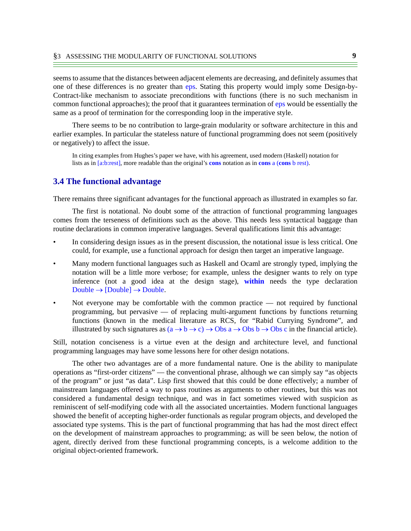seems to assume that the distances between adjacent elements are decreasing, and definitely assumes that one of these differences is no greater than eps. Stating this property would imply some Design-by-Contract-like mechanism to associate preconditions with functions (there is no such mechanism in common functional approaches); the proof that it guarantees termination of eps would be essentially the same as a proof of termination for the corresponding loop in the imperative style.

There seems to be no contribution to large-grain modularity or software architecture in this and earlier examples. In particular the stateless nature of functional programming does not seem (positively or negatively) to affect the issue.

In citing examples from Hughes's paper we have, with his agreement, used modern (Haskell) notation for lists as in [a:b:rest], more readable than the original's **cons** notation as in **cons** a (**cons** b rest).

#### **3.4 The functional advantage**

There remains three significant advantages for the functional approach as illustrated in examples so far.

The first is notational. No doubt some of the attraction of functional programming languages comes from the terseness of definitions such as the above. This needs less syntactical baggage than routine declarations in common imperative languages. Several qualifications limit this advantage:

- In considering design issues as in the present discussion, the notational issue is less critical. One could, for example, use a functional approach for design then target an imperative language.
- Many modern functional languages such as Haskell and Ocaml are strongly typed, implying the notation will be a little more verbose; for example, unless the designer wants to rely on type inference (not a good idea at the design stage), **within** needs the type declaration Double  $\rightarrow$  [Double]  $\rightarrow$  Double.
- Not everyone may be comfortable with the common practice not required by functional programming, but pervasive — of replacing multi-argument functions by functions returning functions (known in the medical literature as RCS, for "Rabid Currying Syndrome", and illustrated by such signatures as  $(a \rightarrow b \rightarrow c) \rightarrow Obs a \rightarrow Obs b \rightarrow Obs c$  in the financial article).

Still, notation conciseness is a virtue even at the design and architecture level, and functional programming languages may have some lessons here for other design notations.

The other two advantages are of a more fundamental nature. One is the ability to manipulate operations as "first-order citizens" — the conventional phrase, although we can simply say "as objects of the program" or just "as data". Lisp first showed that this could be done effectively; a number of mainstream languages offered a way to pass routines as arguments to other routines, but this was not considered a fundamental design technique, and was in fact sometimes viewed with suspicion as reminiscent of self-modifying code with all the associated uncertainties. Modern functional languages showed the benefit of accepting higher-order functionals as regular program objects, and developed the associated type systems. This is the part of functional programming that has had the most direct effect on the development of mainstream approaches to programming; as will be seen below, the notion of agent, directly derived from these functional programming concepts, is a welcome addition to the original object-oriented framework.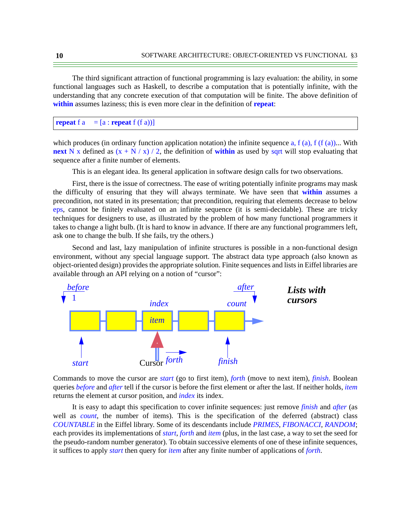The third significant attraction of functional programming is lazy evaluation: the ability, in some functional languages such as Haskell, to describe a computation that is potentially infinite, with the understanding that any concrete execution of that computation will be finite. The above definition of **within** assumes laziness; this is even more clear in the definition of **repeat**:

| <b>repeat</b> f a |  | $=[a : \text{repeat } f(f a))]$ |
|-------------------|--|---------------------------------|
|-------------------|--|---------------------------------|

which produces (in ordinary function application notation) the infinite sequence a, f (a), f (f (a))... With **next** N x defined as  $(x + N / x) / 2$ , the definition of **within** as used by sqrt will stop evaluating that sequence after a finite number of elements.

This is an elegant idea. Its general application in software design calls for two observations.

First, there is the issue of correctness. The ease of writing potentially infinite programs may mask the difficulty of ensuring that they will always terminate. We have seen that **within** assumes a precondition, not stated in its presentation; that precondition, requiring that elements decrease to below eps, cannot be finitely evaluated on an infinite sequence (it is semi-decidable). These are tricky techniques for designers to use, as illustrated by the problem of how many functional programmers it takes to change a light bulb. (It is hard to know in advance. If there are any functional programmers left, ask one to change the bulb. If she fails, try the others.)

Second and last, lazy manipulation of infinite structures is possible in a non-functional design environment, without any special language support. The abstract data type approach (also known as object-oriented design) provides the appropriate solution. Finite sequences and lists in Eiffel libraries are available through an API relying on a notion of "cursor":



Commands to move the cursor are *start* (go to first item), *forth* (move to next item), *finish*. Boolean queries *before* and *after* tell if the cursor is before the first element or after the last. If neither holds, *item* returns the element at cursor position, and *index* its index.

It is easy to adapt this specification to cover infinite sequences: just remove *finish* and *after* (as well as *count*, the number of items). This is the specification of the deferred (abstract) class *COUNTABLE* in the Eiffel library. Some of its descendants include *PRIMES*, *FIBONACCI*, *RANDOM*; each provides its implementations of *start*, *forth* and *item* (plus, in the last case, a way to set the seed for the pseudo-random number generator). To obtain successive elements of one of these infinite sequences, it suffices to apply *start* then query for *item* after any finite number of applications of *forth*.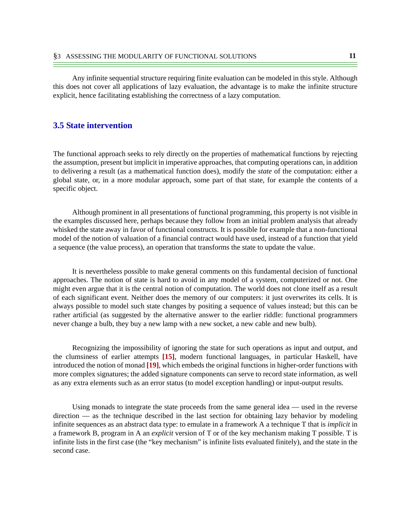Any infinite sequential structure requiring finite evaluation can be modeled in this style. Although this does not cover all applications of lazy evaluation, the advantage is to make the infinite structure explicit, hence facilitating establishing the correctness of a lazy computation.

#### <span id="page-10-0"></span>**3.5 State intervention**

The functional approach seeks to rely directly on the properties of mathematical functions by rejecting the assumption, present but implicit in imperative approaches, that computing operations can, in addition to delivering a result (as a mathematical function does), modify the *state* of the computation: either a global state, or, in a more modular approach, some part of that state, for example the contents of a specific object.

Although prominent in all presentations of functional programming, this property is not visible in the examples discussed here, perhaps because they follow from an initial problem analysis that already whisked the state away in favor of functional constructs. It is possible for example that a non-functional model of the notion of valuation of a financial contract would have used, instead of a function that yield a sequence (the value process), an operation that transforms the state to update the value.

It is nevertheless possible to make general comments on this fundamental decision of functional approaches. The notion of state is hard to avoid in any model of a system, computerized or not. One might even argue that it is the central notion of computation. The world does not clone itself as a result of each significant event. Neither does the memory of our computers: it just overwrites its cells. It is always possible to model such state changes by positing a sequence of values instead; but this can be rather artificial (as suggested by the alternative answer to the earlier riddle: functional programmers never change a bulb, they buy a new lamp with a new socket, a new cable and new bulb).

Recognizing the impossibility of ignoring the state for such operations as input and output, and the clumsiness of earlier attempts **[\[15\]](#page-27-6)**, modern functional languages, in particular Haskell, have introduced the notion of monad **[\[19\]](#page-27-7)**, which embeds the original functions in higher-order functions with more complex signatures; the added signature components can serve to record state information, as well as any extra elements such as an error status (to model exception handling) or input-output results.

Using monads to integrate the state proceeds from the same general idea — used in the reverse direction — as the technique described in the last section for obtaining lazy behavior by modeling infinite sequences as an abstract data type: to emulate in a framework A a technique T that is *implicit* in a framework B, program in A an *explicit* version of T or of the key mechanism making T possible. T is infinite lists in the first case (the "key mechanism" is infinite lists evaluated finitely), and the state in the second case.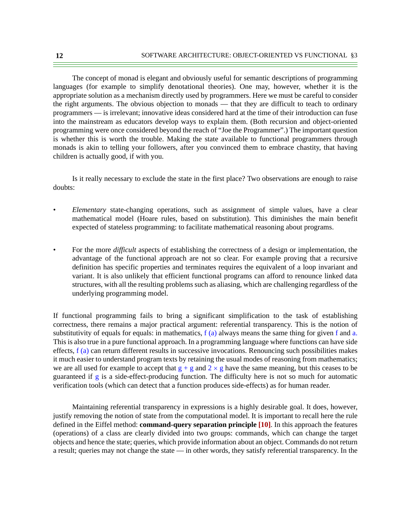The concept of monad is elegant and obviously useful for semantic descriptions of programming languages (for example to simplify denotational theories). One may, however, whether it is the appropriate solution as a mechanism directly used by programmers. Here we must be careful to consider the right arguments. The obvious objection to monads — that they are difficult to teach to ordinary programmers — is irrelevant; innovative ideas considered hard at the time of their introduction can fuse into the mainstream as educators develop ways to explain them. (Both recursion and object-oriented programming were once considered beyond the reach of "Joe the Programmer".) The important question is whether this is worth the trouble. Making the state available to functional programmers through monads is akin to telling your followers, after you convinced them to embrace chastity, that having children is actually good, if with you.

Is it really necessary to exclude the state in the first place? Two observations are enough to raise doubts:

- *Elementary* state-changing operations, such as assignment of simple values, have a clear mathematical model (Hoare rules, based on substitution). This diminishes the main benefit expected of stateless programming: to facilitate mathematical reasoning about programs.
- For the more *difficult* aspects of establishing the correctness of a design or implementation, the advantage of the functional approach are not so clear. For example proving that a recursive definition has specific properties and terminates requires the equivalent of a loop invariant and variant. It is also unlikely that efficient functional programs can afford to renounce linked data structures, with all the resulting problems such as aliasing, which are challenging regardless of the underlying programming model.

If functional programming fails to bring a significant simplification to the task of establishing correctness, there remains a major practical argument: referential transparency. This is the notion of substitutivity of equals for equals: in mathematics,  $f(a)$  always means the same thing for given f and a. This is also true in a pure functional approach. In a programming language where functions can have side effects, f (a) can return different results in successive invocations. Renouncing such possibilities makes it much easier to understand program texts by retaining the usual modes of reasoning from mathematics; we are all used for example to accept that  $g + g$  and  $2 \times g$  have the same meaning, but this ceases to be guaranteed if  $g$  is a side-effect-producing function. The difficulty here is not so much for automatic verification tools (which can detect that a function produces side-effects) as for human reader.

Maintaining referential transparency in expressions is a highly desirable goal. It does, however, justify removing the notion of state from the computational model. It is important to recall here the rule defined in the Eiffel method: **command-query separation principle [\[10\]](#page-27-0)**. In this approach the features (operations) of a class are clearly divided into two groups: commands, which can change the target objects and hence the state; queries, which provide information about an object. Commands do not return a result; queries may not change the state — in other words, they satisfy referential transparency. In the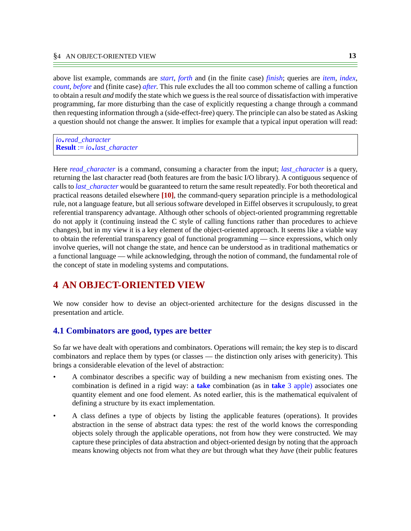above list example, commands are *start*, *forth* and (in the finite case) *finish*; queries are *item*, *index*, *count*, *before* and (finite case) *after*. This rule excludes the all too common scheme of calling a function to obtain a result *and* modify the state which we guess is the real source of dissatisfaction with imperative programming, far more disturbing than the case of explicitly requesting a change through a command then requesting information through a (side-effect-free) query. The principle can also be stated as Asking a question should not change the answer. It implies for example that a typical input operation will read:

*io*.*read\_character* **Result** := *io*.*last\_character*

Here *read\_character* is a command, consuming a character from the input; *last\_character* is a query, returning the last character read (both features are from the basic I/O library). A contiguous sequence of calls to *last\_character* would be guaranteed to return the same result repeatedly. For both theoretical and practical reasons detailed elsewhere **[\[10\]](#page-27-0)**, the command-query separation principle is a methodological rule, not a language feature, but all serious software developed in Eiffel observes it scrupulously, to great referential transparency advantage. Although other schools of object-oriented programming regrettable do not apply it (continuing instead the C style of calling functions rather than procedures to achieve changes), but in my view it is a key element of the object-oriented approach. It seems like a viable way to obtain the referential transparency goal of functional programming — since expressions, which only involve queries, will not change the state, and hence can be understood as in traditional mathematics or a functional language — while acknowledging, through the notion of command, the fundamental role of the concept of state in modeling systems and computations.

# **4 AN OBJECT-ORIENTED VIEW**

We now consider how to devise an object-oriented architecture for the designs discussed in the presentation and article.

# **4.1 Combinators are good, types are better**

So far we have dealt with operations and combinators. Operations will remain; the key step is to discard combinators and replace them by types (or classes — the distinction only arises with genericity). This brings a considerable elevation of the level of abstraction:

- A combinator describes a specific way of building a new mechanism from existing ones. The combination is defined in a rigid way: a **take** combination (as in **take** 3 apple) associates one quantity element and one food element. As noted earlier, this is the mathematical equivalent of defining a structure by its exact implementation.
- A class defines a type of objects by listing the applicable features (operations). It provides abstraction in the sense of abstract data types: the rest of the world knows the corresponding objects solely through the applicable operations, not from how they were constructed. We may capture these principles of data abstraction and object-oriented design by noting that the approach means knowing objects not from what they *are* but through what they *have* (their public features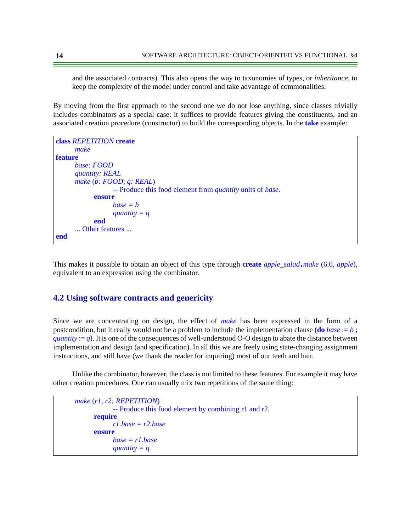and the associated contracts). This also opens the way to taxonomies of types, or *inheritance*, to keep the complexity of the model under control and take advantage of commonalities.

By moving from the first approach to the second one we do not lose anything, since classes trivially includes combinators as a special case: it suffices to provide features giving the constituents, and an associated creation procedure (constructor) to build the corresponding objects. In the **take** example:

```
class REPETITION create
      make
feature
      base: FOOD
      quantity: REAL
      make (b: FOOD; q: REAL)
                  -- Produce this food element from quantity units of base.
            ensure
                  base = b
                  quantity = q
            end
      ... Other features ...
end
```
This makes it possible to obtain an object of this type through **create** *apple\_salad*.*make* (6.0, *apple*), equivalent to an expression using the combinator.

#### **4.2 Using software contracts and genericity**

Since we are concentrating on design, the effect of *make* has been expressed in the form of a postcondition, but it really would not be a problem to include the implementation clause (**do** *base* := *b* ; *quantity* := *q*). It is one of the consequences of well-understood O-O design to abate the distance between implementation and design (and specification). In all this we are freely using state-changing assignment instructions, and still have (we thank the reader for inquiring) most of our teeth and hair.

Unlike the combinator, however, the class is not limited to these features. For example it may have other creation procedures. One can usually mix two repetitions of the same thing:

```
make (r1, r2: REPETITION)
            -- Produce this food element by combining r1 and r2.
      require
            r1.base = r2.base
      ensure
            base = r1.base
            quantity = q
```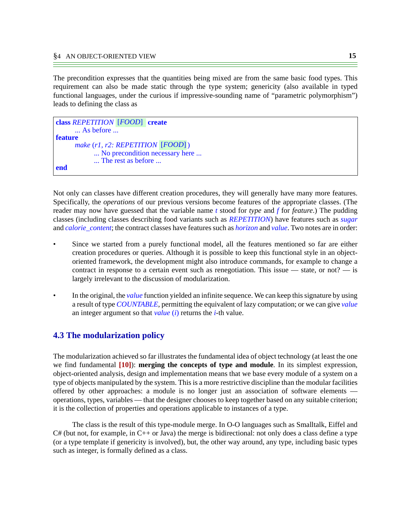The precondition expresses that the quantities being mixed are from the same basic food types. This requirement can also be made static through the type system; genericity (also available in typed functional languages, under the curious if impressive-sounding name of "parametric polymorphism") leads to defining the class as

 $R$ *class REPETITION* [*FOOD*] create ... As before ... **feature** *make* (*r1, r2: REPETITION* ) [*FOOD*]... No precondition necessary here ... ... The rest as before ... **end**

Not only can classes have different creation procedures, they will generally have many more features. Specifically, the *operations* of our previous versions become features of the appropriate classes. (The reader may now have guessed that the variable name *t* stood for *type* and *f* for *feature*.) The pudding classes (including classes describing food variants such as *REPETITION*) have features such as *sugar* and *calorie\_content*; the contract classes have features such as *horizon* and *value*. Two notes are in order:

- Since we started from a purely functional model, all the features mentioned so far are either creation procedures or queries. Although it is possible to keep this functional style in an objectoriented framework, the development might also introduce commands, for example to change a contract in response to a certain event such as renegotiation. This issue — state, or not? — is largely irrelevant to the discussion of modularization.
- In the original, the *value* function yielded an infinite sequence. We can keep this signature by using a result of type *COUNTABLE*, permitting the equivalent of lazy computation; or we can give *value* an integer argument so that *value* (*i*) returns the *i*-th value.

# **4.3 The modularization policy**

The modularization achieved so far illustrates the fundamental idea of object technology (at least the one we find fundamental **[\[10\]](#page-27-0)**): **merging the concepts of type and module**. In its simplest expression, object-oriented analysis, design and implementation means that we base every module of a system on a type of objects manipulated by the system. This is a more restrictive discipline than the modular facilities offered by other approaches: a module is no longer just an association of software elements operations, types, variables — that the designer chooses to keep together based on any suitable criterion; it is the collection of properties and operations applicable to instances of a type.

The class is the result of this type-module merge. In O-O languages such as Smalltalk, Eiffel and  $C#$  (but not, for example, in  $C++$  or Java) the merge is bidirectional: not only does a class define a type (or a type template if genericity is involved), but, the other way around, any type, including basic types such as integer, is formally defined as a class.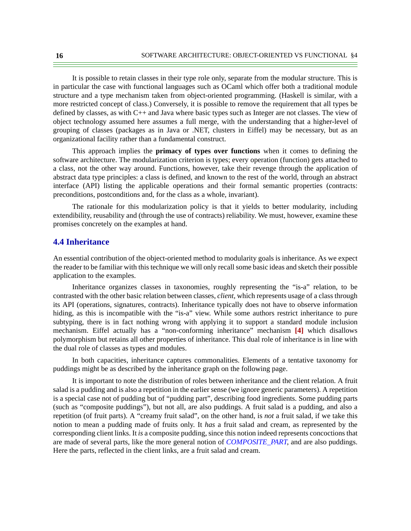It is possible to retain classes in their type role only, separate from the modular structure. This is in particular the case with functional languages such as OCaml which offer both a traditional module structure and a type mechanism taken from object-oriented programming. (Haskell is similar, with a more restricted concept of class.) Conversely, it is possible to remove the requirement that all types be defined by classes, as with C++ and Java where basic types such as Integer are not classes. The view of object technology assumed here assumes a full merge, with the understanding that a higher-level of grouping of classes (packages as in Java or .NET, clusters in Eiffel) may be necessary, but as an organizational facility rather than a fundamental construct.

This approach implies the **primacy of types over functions** when it comes to defining the software architecture. The modularization criterion is types; every operation (function) gets attached to a class, not the other way around. Functions, however, take their revenge through the application of abstract data type principles: a class is defined, and known to the rest of the world, through an abstract interface (API) listing the applicable operations and their formal semantic properties (contracts: preconditions, postconditions and, for the class as a whole, invariant).

The rationale for this modularization policy is that it yields to better modularity, including extendibility, reusability and (through the use of contracts) reliability. We must, however, examine these promises concretely on the examples at hand.

#### **4.4 Inheritance**

An essential contribution of the object-oriented method to modularity goals is inheritance. As we expect the reader to be familiar with this technique we will only recall some basic ideas and sketch their possible application to the examples.

Inheritance organizes classes in taxonomies, roughly representing the "is-a" relation, to be contrasted with the other basic relation between classes, *client*, which represents usage of a class through its API (operations, signatures, contracts). Inheritance typically does not have to observe information hiding, as this is incompatible with the "is-a" view. While some authors restrict inheritance to pure subtyping, there is in fact nothing wrong with applying it to support a standard module inclusion mechanism. Eiffel actually has a "non-conforming inheritance" mechanism **[\[4\]](#page-27-8)** which disallows polymorphism but retains all other properties of inheritance. This dual role of inheritance is in line with the dual role of classes as types and modules.

In both capacities, inheritance captures commonalities. Elements of a tentative taxonomy for puddings might be as described by the inheritance graph on the following page.

It is important to note the distribution of roles between inheritance and the client relation. A fruit salad is a pudding and is also a repetition in the earlier sense (we ignore generic parameters). A repetition is a special case not of pudding but of "pudding part", describing food ingredients. Some pudding parts (such as "composite puddings"), but not all, are also puddings. A fruit salad is a pudding, and also a repetition (of fruit parts). A "creamy fruit salad", on the other hand, is *not* a fruit salad, if we take this notion to mean a pudding made of fruits only. It *has* a fruit salad and cream, as represented by the corresponding client links. It *is* a composite pudding, since this notion indeed represents concoctions that are made of several parts, like the more general notion of *COMPOSITE\_PART*, and are also puddings. Here the parts, reflected in the client links, are a fruit salad and cream.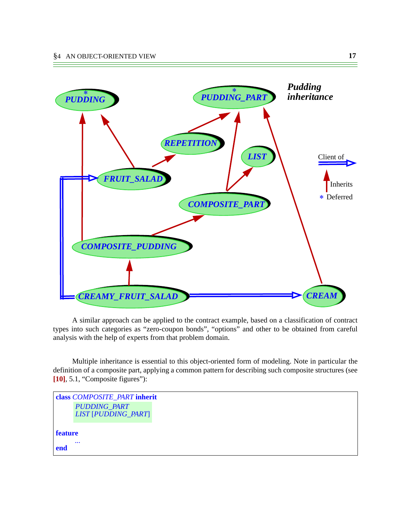

A similar approach can be applied to the contract example, based on a classification of contract types into such categories as "zero-coupon bonds", "options" and other to be obtained from careful analysis with the help of experts from that problem domain.

Multiple inheritance is essential to this object-oriented form of modeling. Note in particular the definition of a composite part, applying a common pattern for describing such composite structures (see **[\[10\]](#page-27-0)**, 5.1, "Composite figures"):

```
class COMPOSITE_PART inherit
feature...
end
     PUDDING_PART
     LIST [PUDDING_PART]
```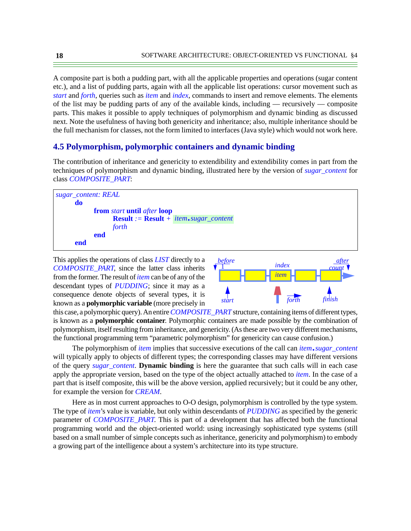A composite part is both a pudding part, with all the applicable properties and operations (sugar content etc.), and a list of pudding parts, again with all the applicable list operations: cursor movement such as *start* and *forth*, queries such as *item* and *index*, commands to insert and remove elements. The elements of the list may be pudding parts of any of the available kinds, including — recursively — composite parts. This makes it possible to apply techniques of polymorphism and dynamic binding as discussed next. Note the usefulness of having both genericity and inheritance; also, multiple inheritance should be the full mechanism for classes, not the form limited to interfaces (Java style) which would not work here.

#### **4.5 Polymorphism, polymorphic containers and dynamic binding**

The contribution of inheritance and genericity to extendibility and extendibility comes in part from the techniques of polymorphism and dynamic binding, illustrated here by the version of *sugar\_content* for class *COMPOSITE\_PART*:



This applies the operations of class *LIST* directly to a *COMPOSITE\_PART*, since the latter class inherits from the former. The result of *item* can be of any of the descendant types of *PUDDING*; since it may as a consequence denote objects of several types, it is known as a **polymorphic variable** (more precisely in



this case, a polymorphic query). An entire *COMPOSITE\_PART* structure, containing items of different types, is known as a **polymorphic container**. Polymorphic containers are made possible by the combination of polymorphism, itself resulting from inheritance, and genericity. (As these are two very different mechanisms, the functional programming term "parametric polymorphism" for genericity can cause confusion.)

The polymorphism of *item* implies that successive executions of the call can *item*.*sugar\_content* will typically apply to objects of different types; the corresponding classes may have different versions of the query *sugar\_content*. **Dynamic binding** is here the guarantee that such calls will in each case apply the appropriate version, based on the type of the object actually attached to *item*. In the case of a part that is itself composite, this will be the above version, applied recursively; but it could be any other, for example the version for *CREAM*.

Here as in most current approaches to O-O design, polymorphism is controlled by the type system. The type of *item*'s value is variable, but only within descendants of *PUDDING* as specified by the generic parameter of *COMPOSITE\_PART*. This is part of a development that has affected both the functional programming world and the object-oriented world: using increasingly sophisticated type systems (still based on a small number of simple concepts such as inheritance, genericity and polymorphism) to embody a growing part of the intelligence about a system's architecture into its type structure.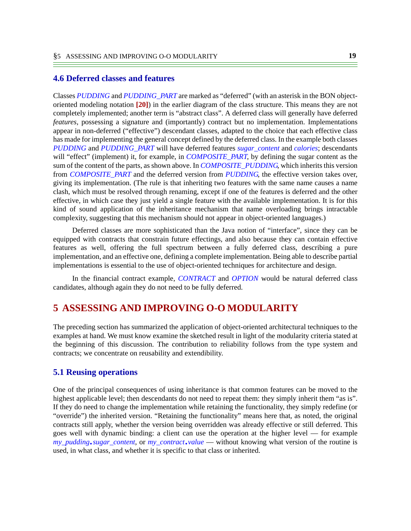# **4.6 Deferred classes and features**

Classes *PUDDING* and *PUDDING\_PART* are marked as "deferred" (with an asterisk in the BON objectoriented modeling notation **[\[20\]](#page-28-0)**) in the earlier diagram of the class structure. This means they are not completely implemented; another term is "abstract class". A deferred class will generally have deferred *features*, possessing a signature and (importantly) contract but no implementation. Implementations appear in non-deferred ("effective") descendant classes, adapted to the choice that each effective class has made for implementing the general concept defined by the deferred class. In the example both classes *PUDDING* and *PUDDING\_PART* will have deferred features *sugar\_content* and *calories*; descendants will "effect" (implement) it, for example, in *COMPOSITE\_PART*, by defining the sugar content as the sum of the content of the parts, as shown above. In *COMPOSITE\_PUDDING*, which inherits this version from *COMPOSITE\_PART* and the deferred version from *PUDDING*, the effective version takes over, giving its implementation. (The rule is that inheriting two features with the same name causes a name clash, which must be resolved through renaming, except if one of the features is deferred and the other effective, in which case they just yield a single feature with the available implementation. It is for this kind of sound application of the inheritance mechanism that name overloading brings intractable complexity, suggesting that this mechanism should not appear in object-oriented languages.)

Deferred classes are more sophisticated than the Java notion of "interface", since they can be equipped with contracts that constrain future effectings, and also because they can contain effective features as well, offering the full spectrum between a fully deferred class, describing a pure implementation, and an effective one, defining a complete implementation. Being able to describe partial implementations is essential to the use of object-oriented techniques for architecture and design.

In the financial contract example, *CONTRACT* and *OPTION* would be natural deferred class candidates, although again they do not need to be fully deferred.

# **5 ASSESSING AND IMPROVING O-O MODULARITY**

The preceding section has summarized the application of object-oriented architectural techniques to the examples at hand. We must know examine the sketched result in light of the modularity criteria stated at the beginning of this discussion. The contribution to reliability follows from the type system and contracts; we concentrate on reusability and extendibility.

## **5.1 Reusing operations**

One of the principal consequences of using inheritance is that common features can be moved to the highest applicable level; then descendants do not need to repeat them: they simply inherit them "as is". If they do need to change the implementation while retaining the functionality, they simply redefine (or "override") the inherited version. "Retaining the functionality" means here that, as noted, the original contracts still apply, whether the version being overridden was already effective or still deferred. This goes well with dynamic binding: a client can use the operation at the higher level — for example *my\_pudding*.*sugar\_content*, or *my\_contract*.*value* — without knowing what version of the routine is used, in what class, and whether it is specific to that class or inherited.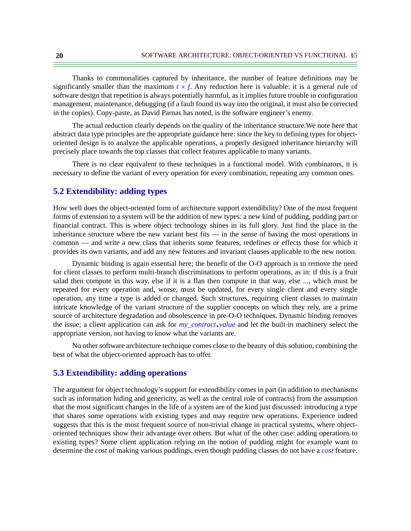Thanks to commonalities captured by inheritance, the number of feature definitions may be significantly smaller than the maximum  $t \times f$ . Any reduction here is valuable: it is a general rule of software design that repetition is always potentially harmful, as it implies future trouble in configuration management, maintenance, debugging (if a fault found its way into the original, it must also be corrected in the copies). Copy-paste, as David Parnas has noted, is the software engineer's enemy.

The actual reduction clearly depends on the quality of the inheritance structure.We note here that abstract data type principles are the appropriate guidance here: since the key to defining types for objectoriented design is to analyze the applicable operations, a properly designed inheritance hierarchy will precisely place towards the top classes that collect features applicable to many variants.

There is no clear equivalent to these techniques in a functional model. With combinators, it is necessary to define the variant of every operation for every combination, repeating any common ones.

## **5.2 Extendibility: adding types**

How well does the object-oriented form of architecture support extendibility? One of the most frequent forms of extension to a system will be the addition of new types: a new kind of pudding, pudding part or financial contract. This is where object technology shines in its full glory. Just find the place in the inheritance structure where the new variant best fits — in the sense of having the most operations in common — and write a new class that inherits some features, redefines or effects those for which it provides its own variants, and add any new features and invariant clauses applicable to the new notion.

Dynamic binding is again essential here; the benefit of the O-O approach is to remove the need for client classes to perform multi-branch discriminations to perform operations, as in: if this is a fruit salad then compute in this way, else if it is a flan then compute in that way, else ..., which must be repeated for every operation and, worse, must be updated, for every single client and every single operation, any time a type is added or changed. Such structures, requiring client classes to maintain intricate knowledge of the variant structure of the supplier concepts on which they rely, are a prime source of architecture degradation and obsolescence in pre-O-O techniques. Dynamic binding removes the issue; a client application can ask for *my\_contract*.*value* and let the built-in machinery select the appropriate version, not having to know what the variants are.

No other software architecture technique comes close to the beauty of this solution, combining the best of what the object-oriented approach has to offer.

## **5.3 Extendibility: adding operations**

The argument for object technology's support for extendibility comes in part (in addition to mechanisms such as information hiding and genericity, as well as the central role of contracts) from the assumption that the most significant changes in the life of a system are of the kind just discussed: introducing a type that shares some operations with existing types and may require new operations. Experience indeed suggests that this is the most frequent source of non-trivial change in practical systems, where objectoriented techniques show their advantage over others. But what of the other case: adding operations to existing types? Some client application relying on the notion of pudding might for example want to determine the *cost* of making various puddings, even though pudding classes do not have a *cost* feature.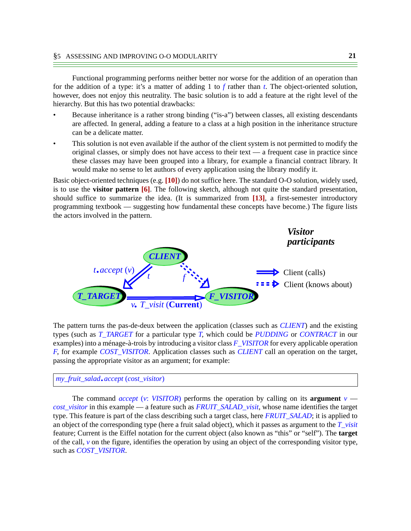Functional programming performs neither better nor worse for the addition of an operation than for the addition of a type: it's a matter of adding 1 to *f* rather than *t*. The object-oriented solution, however, does not enjoy this neutrality. The basic solution is to add a feature at the right level of the hierarchy. But this has two potential drawbacks:

- Because inheritance is a rather strong binding ("is-a") between classes, all existing descendants are affected. In general, adding a feature to a class at a high position in the inheritance structure can be a delicate matter.
- This solution is not even available if the author of the client system is not permitted to modify the original classes, or simply does not have access to their text — a frequent case in practice since these classes may have been grouped into a library, for example a financial contract library. It would make no sense to let authors of every application using the library modify it.

Basic object-oriented techniques (e.g. **[\[10\]](#page-27-0)**) do not suffice here. The standard O-O solution, widely used, is to use the **visitor pattern [\[6\]](#page-27-9)**. The following sketch, although not quite the standard presentation, should suffice to summarize the idea. (It is summarized from **[\[13\]](#page-27-10)**, a first-semester introductory programming textbook — suggesting how fundamental these concepts have become.) The figure lists the actors involved in the pattern.



The pattern turns the pas-de-deux between the application (classes such as *CLIENT*) and the existing types (such as *T\_TARGET* for a particular type *T*, which could be *PUDDING* or *CONTRACT* in our examples) into a ménage-à-trois by introducing a visitor class *F\_VISITOR* for every applicable operation *F*, for example *COST\_VISITOR*. Application classes such as *CLIENT* call an operation on the target, passing the appropriate visitor as an argument; for example:

*my\_fruit\_salad*.*accept* (*cost\_visitor*)

The command *accept* (*v*: *VISITOR*) performs the operation by calling on its **argument**  $v$  *cost\_visitor* in this example — a feature such as *FRUIT\_SALAD\_visit*, whose name identifies the target type. This feature is part of the class describing such a target class, here *FRUIT\_SALAD*; it is applied to an object of the corresponding type (here a fruit salad object), which it passes as argument to the *T\_visit* feature; Current is the Eiffel notation for the current object (also known as "this" or "self"). The **target** of the call,  $\nu$  on the figure, identifies the operation by using an object of the corresponding visitor type, such as *COST\_VISITOR*.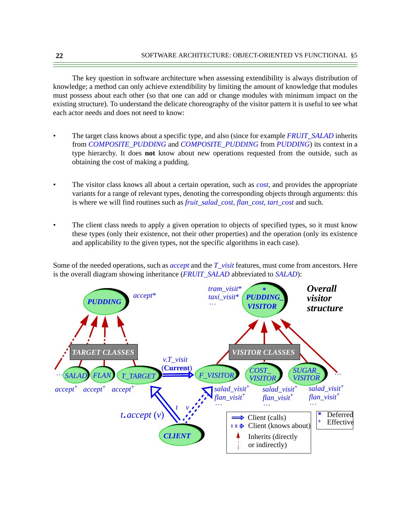The key question in software architecture when assessing extendibility is always distribution of knowledge; a method can only achieve extendibility by limiting the amount of knowledge that modules must possess about each other (so that one can add or change modules with minimum impact on the existing structure). To understand the delicate choreography of the visitor pattern it is useful to see what each actor needs and does not need to know:

- The target class knows about a specific type, and also (since for example *FRUIT\_SALAD* inherits from *COMPOSITE\_PUDDING* and *COMPOSITE\_PUDDING* from *PUDDING*) its context in a type hierarchy. It does **not** know about new operations requested from the outside, such as obtaining the cost of making a pudding.
- The visitor class knows all about a certain operation, such as *cost*, and provides the appropriate variants for a range of relevant types, denoting the corresponding objects through arguments: this is where we will find routines such as *fruit\_salad\_cost*, *flan\_cost*, *tart\_cost* and such.
- The client class needs to apply a given operation to objects of specified types, so it must know these types (only their existence, not their other properties) and the operation (only its existence and applicability to the given types, not the specific algorithms in each case).

Some of the needed operations, such as *accept* and the *T\_visit* features, must come from ancestors. Here is the overall diagram showing inheritance (*FRUIT\_SALAD* abbreviated to *SALAD*):

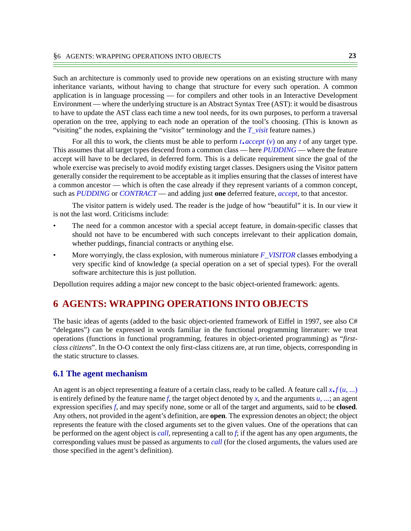Such an architecture is commonly used to provide new operations on an existing structure with many inheritance variants, without having to change that structure for every such operation. A common application is in language processing — for compilers and other tools in an Interactive Development Environment — where the underlying structure is an Abstract Syntax Tree (AST): it would be disastrous to have to update the AST class each time a new tool needs, for its own purposes, to perform a traversal operation on the tree, applying to each node an operation of the tool's choosing. (This is known as "visiting" the nodes, explaining the "visitor" terminology and the *T\_visit* feature names.)

For all this to work, the clients must be able to perform  $t$ . *accept*  $(v)$  on any  $t$  of any target type. This assumes that all target types descend from a common class — here *PUDDING* — where the feature accept will have to be declared, in deferred form. This is a delicate requirement since the goal of the whole exercise was precisely to avoid modify existing target classes. Designers using the Visitor pattern generally consider the requirement to be acceptable as it implies ensuring that the classes of interest have a common ancestor — which is often the case already if they represent variants of a common concept, such as *PUDDING* or *CONTRACT* — and adding just **one** deferred feature, *accept*, to that ancestor.

The visitor pattern is widely used. The reader is the judge of how "beautiful" it is. In our view it is not the last word. Criticisms include:

- The need for a common ancestor with a special accept feature, in domain-specific classes that should not have to be encumbered with such concepts irrelevant to their application domain, whether puddings, financial contracts or anything else.
- More worryingly, the class explosion, with numerous miniature *F\_VISITOR* classes embodying a very specific kind of knowledge (a special operation on a set of special types). For the overall software architecture this is just pollution.

Depollution requires adding a major new concept to the basic object-oriented framework: agents.

# **6 AGENTS: WRAPPING OPERATIONS INTO OBJECTS**

The basic ideas of agents (added to the basic object-oriented framework of Eiffel in 1997, see also C# "delegates") can be expressed in words familiar in the functional programming literature: we treat operations (functions in functional programming, features in object-oriented programming) as "*firstclass citizens*". In the O-O context the only first-class citizens are, at run time, objects, corresponding in the static structure to classes.

#### **6.1 The agent mechanism**

An agent is an object representing a feature of a certain class, ready to be called. A feature call  $x \cdot f(u, ...)$ is entirely defined by the feature name f, the target object denoted by x, and the arguments  $u$ , ...; an agent expression specifies *f*, and may specify none, some or all of the target and arguments, said to be **closed**. Any others, not provided in the agent's definition, are **open**. The expression denotes an object; the object represents the feature with the closed arguments set to the given values. One of the operations that can be performed on the agent object is *call*, representing a call to *f*; if the agent has any open arguments, the corresponding values must be passed as arguments to *call* (for the closed arguments, the values used are those specified in the agent's definition).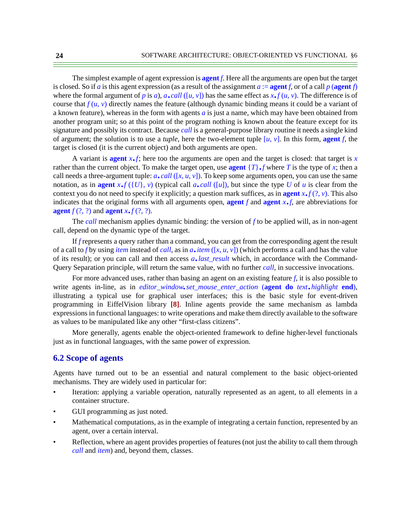The simplest example of agent expression is **agent** *f*. Here all the arguments are open but the target is closed. So if *a* is this agent expression (as a result of the assignment  $a := \text{agent } f$ , or of a call  $p$  (agent  $f$ ) where the formal argument of *p* is *a*), *a*.*call* ([*u*, *v*]) has the same effect as  $x \cdot f(u, v)$ . The difference is of course that  $f(u, v)$  directly names the feature (although dynamic binding means it could be a variant of a known feature), whereas in the form with agents *a* is just a name, which may have been obtained from another program unit; so at this point of the program nothing is known about the feature except for its signature and possibly its contract. Because *call* is a general-purpose library routine it needs a single kind of argument; the solution is to use a *tuple*, here the two-element tuple  $[u, v]$ . In this form, **agent** *f*, the target is closed (it is the current object) and both arguments are open.

A variant is **agent** *x*.*f*; here too the arguments are open and the target is closed: that target is *<sup>x</sup>* rather than the current object. To make the target open, use **agent**  ${T}$ . *f* where *T* is the type of *x*; then a call needs a three-argument tuple:  $a$ .*call* ([ $x$ ,  $u$ ,  $v$ ]). To keep some arguments open, you can use the same notation, as in **agent**  $x \cdot f$  ({ $U$ },  $v$ ) (typical call *a*,*call* ([*u*]), but since the type *U* of *u* is clear from the context you do not need to specify it explicitly; a question mark suffices, as in **agent**  $x \cdot f(?, v)$ . This also indicates that the original forms with all arguments open, **agent** *f* and **agent** *x*.*f*, are abbreviations for **agent**  $f(?, ?)$  and **agent**  $x \cdot f(?, ?)$ .

The *call* mechanism applies dynamic binding: the version of *f* to be applied will, as in non-agent call, depend on the dynamic type of the target.

If *f* represents a query rather than a command, you can get from the corresponding agent the result of a call to *f* by using *item* instead of *call*, as in *a*.*item* ([*x*, *u*, *v*]) (which performs a call and has the value of its result); or you can call and then access *a*.*last\_result* which, in accordance with the Command-Query Separation principle, will return the same value, with no further *call*, in successive invocations.

For more advanced uses, rather than basing an agent on an existing feature *f*, it is also possible to write agents in-line, as in *editor\_window*.*set\_mouse\_enter\_action* (**agent do** *text*.*highlight* **end**), illustrating a typical use for graphical user interfaces; this is the basic style for event-driven programming in EiffelVision library **[\[8\]](#page-27-4)**. Inline agents provide the same mechanism as lambda expressions in functional languages: to write operations and make them directly available to the software as values to be manipulated like any other "first-class citizens".

More generally, agents enable the object-oriented framework to define higher-level functionals just as in functional languages, with the same power of expression.

#### **6.2 Scope of agents**

Agents have turned out to be an essential and natural complement to the basic object-oriented mechanisms. They are widely used in particular for:

- Iteration: applying a variable operation, naturally represented as an agent, to all elements in a container structure.
- GUI programming as just noted.
- Mathematical computations, as in the example of integrating a certain function, represented by an agent, over a certain interval.
- Reflection, where an agent provides properties of features (not just the ability to call them through *call* and *item*) and, beyond them, classes.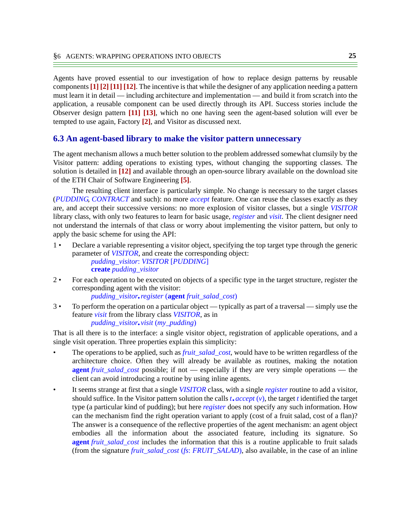Agents have proved essential to our investigation of how to replace design patterns by reusable components **[\[1\]](#page-26-0) [\[2\]](#page-26-1) [\[11\]](#page-27-11) [\[12\]](#page-27-12)**. The incentive is that while the designer of any application needing a pattern must learn it in detail — including architecture and implementation — and build it from scratch into the application, a reusable component can be used directly through its API. Success stories include the Observer design pattern **[\[11\]](#page-27-11) [\[13\]](#page-27-10)**, which no one having seen the agent-based solution will ever be tempted to use again, Factory **[\[2\]](#page-26-1)**, and Visitor as discussed next.

#### **6.3 An agent-based library to make the visitor pattern unnecessary**

The agent mechanism allows a much better solution to the problem addressed somewhat clumsily by the Visitor pattern: adding operations to existing types, without changing the supporting classes. The solution is detailed in **[\[12\]](#page-27-12)** and available through an open-source library available on the download site of the ETH Chair of Software Engineering **[\[5\]](#page-27-13)**.

The resulting client interface is particularly simple. No change is necessary to the target classes (*PUDDING*, *CONTRACT* and such): no more *accept* feature. One can reuse the classes exactly as they are, and accept their successive versions: no more explosion of visitor classes, but a single *VISITOR* library class, with only two features to learn for basic usage, *register* and *visit*. The client designer need not understand the internals of that class or worry about implementing the visitor pattern, but only to apply the basic scheme for using the API:

- 1 Declare a variable representing a visitor object, specifying the top target type through the generic parameter of *VISITOR*, and create the corresponding object: *pudding\_visitor*: *VISITOR* [*PUDDING*] **create** *pudding\_visitor*
- 2 For each operation to be executed on objects of a specific type in the target structure, register the corresponding agent with the visitor:

*pudding\_visitor*.*register* (**agent** *fruit\_salad\_cost*)

3 • To perform the operation on a particular object — typically as part of a traversal — simply use the feature *visit* from the library class *VISITOR*, as in *pudding\_visitor*.*visit* (*my\_pudding*)

That is all there is to the interface: a single visitor object, registration of applicable operations, and a single visit operation. Three properties explain this simplicity:

- The operations to be applied, such as *fruit\_salad\_cost*, would have to be written regardless of the architecture choice. Often they will already be available as routines, making the notation **agent** *fruit\_salad\_cost* possible; if not — especially if they are very simple operations — the client can avoid introducing a routine by using inline agents.
- It seems strange at first that a single *VISITOR* class, with a single *register* routine to add a visitor, should suffice. In the Visitor pattern solution the calls *t*.*accept* (*v*), the target *t* identified the target type (a particular kind of pudding); but here *register* does not specify any such information. How can the mechanism find the right operation variant to apply (cost of a fruit salad, cost of a flan)? The answer is a consequence of the reflective properties of the agent mechanism: an agent object embodies all the information about the associated feature, including its signature. So **agent** *fruit\_salad\_cost* includes the information that this is a routine applicable to fruit salads (from the signature *fruit\_salad\_cost* (*fs*: *FRUIT\_SALAD*), also available, in the case of an inline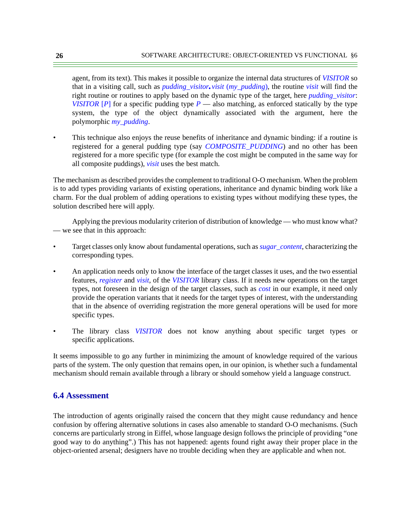agent, from its text). This makes it possible to organize the internal data structures of *VISITOR* so that in a visiting call, such as *pudding\_visitor*.*visit* (*my\_pudding*), the routine *visit* will find the right routine or routines to apply based on the dynamic type of the target, here *pudding\_visitor*: *VISITOR* [P] for a specific pudding type  $P$  — also matching, as enforced statically by the type system, the type of the object dynamically associated with the argument, here the polymorphic *my\_pudding*.

• This technique also enjoys the reuse benefits of inheritance and dynamic binding: if a routine is registered for a general pudding type (say *COMPOSITE\_PUDDING*) and no other has been registered for a more specific type (for example the cost might be computed in the same way for all composite puddings), *visit* uses the best match.

The mechanism as described provides the complement to traditional O-O mechanism. When the problem is to add types providing variants of existing operations, inheritance and dynamic binding work like a charm. For the dual problem of adding operations to existing types without modifying these types, the solution described here will apply.

Applying the previous modularity criterion of distribution of knowledge — who must know what? — we see that in this approach:

- Target classes only know about fundamental operations, such as *sugar\_content*, characterizing the corresponding types.
- An application needs only to know the interface of the target classes it uses, and the two essential features, *register* and *visit*, of the *VISITOR* library class. If it needs new operations on the target types, not foreseen in the design of the target classes, such as *cost* in our example, it need only provide the operation variants that it needs for the target types of interest, with the understanding that in the absence of overriding registration the more general operations will be used for more specific types.
- The library class *VISITOR* does not know anything about specific target types or specific applications.

It seems impossible to go any further in minimizing the amount of knowledge required of the various parts of the system. The only question that remains open, in our opinion, is whether such a fundamental mechanism should remain available through a library or should somehow yield a language construct.

## **6.4 Assessment**

The introduction of agents originally raised the concern that they might cause redundancy and hence confusion by offering alternative solutions in cases also amenable to standard O-O mechanisms. (Such concerns are particularly strong in Eiffel, whose language design follows the principle of providing "one good way to do anything".) This has not happened: agents found right away their proper place in the object-oriented arsenal; designers have no trouble deciding when they are applicable and when not.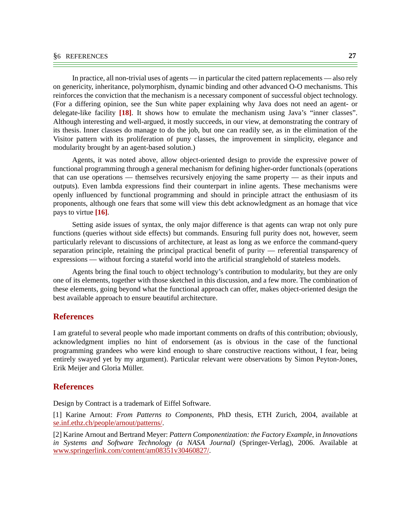In practice, all non-trivial uses of agents — in particular the cited pattern replacements — also rely on genericity, inheritance, polymorphism, dynamic binding and other advanced O-O mechanisms. This reinforces the conviction that the mechanism is a necessary component of successful object technology. (For a differing opinion, see the Sun white paper explaining why Java does not need an agent- or delegate-like facility **[\[18\]](#page-27-14)**. It shows how to emulate the mechanism using Java's "inner classes". Although interesting and well-argued, it mostly succeeds, in our view, at demonstrating the contrary of its thesis. Inner classes do manage to do the job, but one can readily see, as in the elimination of the Visitor pattern with its proliferation of puny classes, the improvement in simplicity, elegance and modularity brought by an agent-based solution.)

Agents, it was noted above, allow object-oriented design to provide the expressive power of functional programming through a general mechanism for defining higher-order functionals (operations that can use operations — themselves recursively enjoying the same property — as their inputs and outputs). Even lambda expressions find their counterpart in inline agents. These mechanisms were openly influenced by functional programming and should in principle attract the enthusiasm of its proponents, although one fears that some will view this debt acknowledgment as an homage that vice pays to virtue **[\[16\]](#page-27-15)**.

Setting aside issues of syntax, the only major difference is that agents can wrap not only pure functions (queries without side effects) but commands. Ensuring full purity does not, however, seem particularly relevant to discussions of architecture, at least as long as we enforce the command-query separation principle, retaining the principal practical benefit of purity — referential transparency of expressions — without forcing a stateful world into the artificial stranglehold of stateless models.

Agents bring the final touch to object technology's contribution to modularity, but they are only one of its elements, together with those sketched in this discussion, and a few more. The combination of these elements, going beyond what the functional approach can offer, makes object-oriented design the best available approach to ensure beautiful architecture.

#### **References**

I am grateful to several people who made important comments on drafts of this contribution; obviously, acknowledgment implies no hint of endorsement (as is obvious in the case of the functional programming grandees who were kind enough to share constructive reactions without, I fear, being entirely swayed yet by my argument). Particular relevant were observations by Simon Peyton-Jones, Erik Meijer and Gloria Müller.

#### **References**

Design by Contract is a trademark of Eiffel Software.

<span id="page-26-0"></span>[1] Karine Arnout: *From Patterns to Components*, PhD thesis, ETH Zurich, 2004, available at [se.inf.ethz.ch/people/arnout/patterns/.](http://se.inf.ethz.ch/people/arnout/patterns/)

<span id="page-26-1"></span>[2] Karine Arnout and Bertrand Meyer: *Pattern Componentization: the Factory Example*, in *Innovations in Systems and Software Technology (a NASA Journal)* (Springer-Verlag), 2006. Available at [www.springerlink.com/content/am08351v30460827/.](http://www.springerlink.com/content/am08351v30460827/)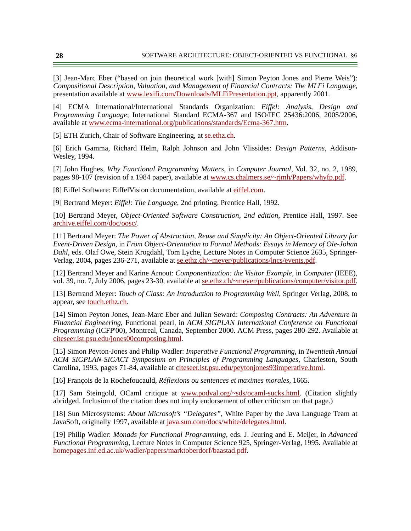<span id="page-27-2"></span>[3] Jean-Marc Eber ("based on join theoretical work [with] Simon Peyton Jones and Pierre Weis"): *Compositional Description, Valuation, and Management of Financial Contracts: The MLFi Language*, presentation available at [www.lexifi.com/Downloads/MLFiPresentation.ppt](http://www.lexifi.com/Downloads/MLFiPresentation.ppt), apparently 2001.

<span id="page-27-8"></span>[4] ECMA International/International Standards Organization: *Eiffel: Analysis, Design and Programming Language*; International Standard ECMA-367 and ISO/IEC 25436:2006, 2005/2006, available at [www.ecma-international.org/publications/standards/Ecma-367.htm](http://www.ecma-international.org/publications/standards/Ecma-367.htm).

<span id="page-27-13"></span>[5] ETH Zurich, Chair of Software Engineering, at [se.ethz.ch](http://se.ethz.ch).

<span id="page-27-9"></span>[6] Erich Gamma, Richard Helm, Ralph Johnson and John Vlissides: *Design Patterns*, Addison-Wesley, 1994.

<span id="page-27-3"></span>[7] John Hughes, *Why Functional Programming Matters*, in *Computer Journal*, Vol. 32, no. 2, 1989, pages 98-107 (revision of a 1984 paper), available at [www.cs.chalmers.se/~rjmh/Papers/whyfp.pdf](http://www.cs.chalmers.se/~rjmh/Papers/whyfp.pdf).

<span id="page-27-4"></span>[8] Eiffel Software: EiffelVision documentation, available at [eiffel.com.](http://www.eiffel.com)

[9] Bertrand Meyer: *Eiffel: The Language*, 2nd printing, Prentice Hall, 1992.

<span id="page-27-0"></span>[10] Bertrand Meyer, *Object-Oriented Software Construction, 2nd edition*, Prentice Hall, 1997. See [archive.eiffel.com/doc/oosc/](http://archive.eiffel.com/doc/oosc/).

<span id="page-27-11"></span>[11] Bertrand Meyer: *The Power of Abstraction, Reuse and Simplicity: An Object-Oriented Library for Event-Driven Design*, in *From Object-Orientation to Formal Methods: Essays in Memory of Ole-Johan Dahl*, eds. Olaf Owe, Stein Krogdahl, Tom Lyche, Lecture Notes in Computer Science 2635, Springer-Verlag, 2004, pages 236-271, available at [se.ethz.ch/~meyer/publications/lncs/events.pdf.](http://se.ethz.ch/~meyer/publications/lncs/events.pdf)

<span id="page-27-12"></span>[12] Bertrand Meyer and Karine Arnout: *Componentization: the Visitor Example*, in *Computer* (IEEE), vol. 39, no. 7, July 2006, pages 23-30, available at [se.ethz.ch/~meyer/publications/computer/visitor.pdf](http://se.ethz.ch/~meyer/publications/computer/visitor.pdf).

<span id="page-27-10"></span>[13] Bertrand Meyer: *Touch of Class: An Introduction to Programming Well*, Springer Verlag, 2008, to appear, see [touch.ethz.ch.](http://touch.ethz.ch)

<span id="page-27-1"></span>[14] Simon Peyton Jones, Jean-Marc Eber and Julian Seward: *Composing Contracts: An Adventure in Financial Engineering*, Functional pearl, in *ACM SIGPLAN International Conference on Functional Programming* (ICFP'00), Montreal, Canada, September 2000. ACM Press, pages 280-292. Available at [citeseer.ist.psu.edu/jones00composing.html](http://citeseer.ist.psu.edu/jones00composing.html).

<span id="page-27-6"></span>[15] Simon Peyton-Jones and Philip Wadler: *Imperative Functional Programming*, in *Twentieth Annual ACM SIGPLAN-SIGACT Symposium on Principles of Programming Languages*, Charleston, South Carolina, 1993, pages 71-84, available at [citeseer.ist.psu.edu/peytonjones93imperative.html.](citeseer.ist.psu.edu/peytonjones93imperative.html)

<span id="page-27-15"></span>[16] François de la Rochefoucauld, *Réflexions ou sentences et maximes morales*, 1665.

<span id="page-27-5"></span>[17] Sam Steingold, OCaml critique at www.podval.org/~sds/ocaml-sucks.html. (Citation slightly abridged. Inclusion of the citation does not imply endorsement of other criticism on that page.)

<span id="page-27-14"></span>[18] Sun Microsystems: *About Microsoft's "Delegates"*, White Paper by the Java Language Team at JavaSoft, originally 1997, available at [java.sun.com/docs/white/delegates.html](http://java.sun.com/docs/white/delegates.html).

<span id="page-27-7"></span>[19] Philip Wadler: *Monads for Functional Programming*, eds. J. Jeuring and E. Meijer, in *Advanced Functional Programming*, Lecture Notes in Computer Science 925, Springer-Verlag, 1995. Available at [homepages.inf.ed.ac.uk/wadler/papers/marktoberdorf/baastad.pdf.](homepages.inf.ed.ac.uk/wadler/papers/marktoberdorf/baastad.pdf)